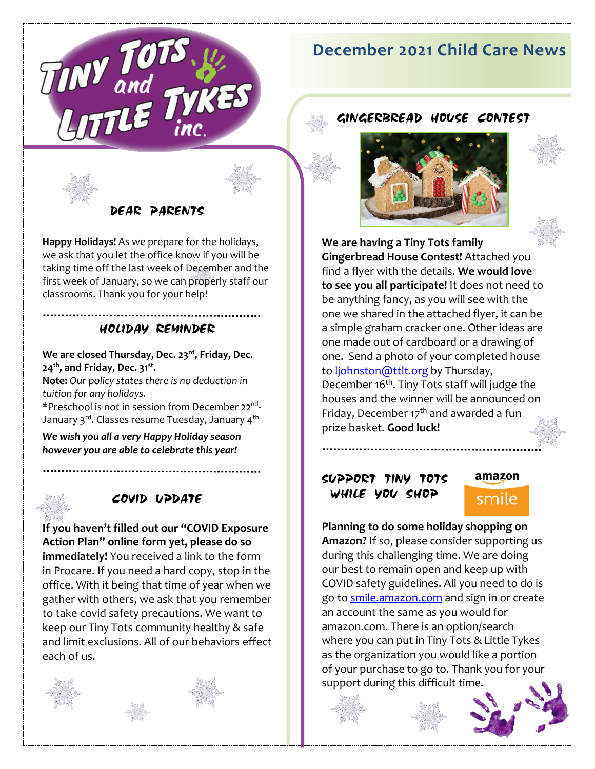

# **December 2021 Child Care News**

GINGERBREAD HOUSE CONTEST



DEAR PARENTS

**Happy Holidays!** As we prepare for the holidays, we ask that you let the office know if you will be taking time off the last week of December and the first week of January, so we can properly staff our classrooms. Thank you for your help!

### HOLIDAY REMINDER

**We are closed Thursday, Dec. 23 rd, Friday, Dec. 24 th, and Friday, Dec. 31 st .** 

**Note:** *Our policy states there is no deduction in tuition for any holidays.*

\*Preschool is not in session from December 22<sup>nd</sup>-January 3<sup>rd</sup>. Classes resume Tuesday, January 4<sup>th.</sup>

*We wish you all a very Happy Holiday season however you are able to celebrate this year!*

# COVID UPDATE

**If you haven't filled out our "COVID Exposure Action Plan" online form yet, please do so immediately!** You received a link to the form in Procare. If you need a hard copy, stop in the office. With it being that time of year when we gather with others, we ask that you remember to take covid safety precautions. We want to keep our Tiny Tots community healthy & safe and limit exclusions. All of our behaviors effect each of us.





**We are having a Tiny Tots family Gingerbread House Contest!** Attached you find a flyer with the details. **We would love to see you all participate!** It does not need to be anything fancy, as you will see with the one we shared in the attached flyer, it can be a simple graham cracker one. Other ideas are one made out of cardboard or a drawing of one. Send a photo of your completed house to [ljohnston@ttlt.org](mailto:ljohnston@ttlt.org) by Thursday, December 16<sup>th</sup>. Tiny Tots staff will judge the houses and the winner will be announced on Friday, December  $17<sup>th</sup>$  and awarded a fun prize basket. **Good luck!**

## SUPPORT TINY TOTS WHILE YOU SHOP

# amazon smile

**Planning to do some holiday shopping on Amazon?** If so, please consider supporting us during this challenging time. We are doing our best to remain open and keep up with COVID safety guidelines. All you need to do is go t[o smile.amazon.com](https://smile.amazon.com/ap/signin?_encoding=UTF8&openid.assoc_handle=amzn_smile&openid.claimed_id=http%3A%2F%2Fspecs.openid.net%2Fauth%2F2.0%2Fidentifier_select&openid.identity=http%3A%2F%2Fspecs.openid.net%2Fauth%2F2.0%2Fidentifier_select&openid.mode=checkid_setup&openid.ns=http%3A%2F%2Fspecs.openid.net%2Fauth%2F2.0&openid.ns.pape=http%3A%2F%2Fspecs.openid.net%2Fextensions%2Fpape%2F1.0&openid.pape.max_auth_age=0&openid.return_to=https%3A%2F%2Fsmile.amazon.com%2Fgp%2Fcharity%2Fhomepage.html%3Fie%3DUTF8%26%252AVersion%252A%3D1%26%252Aentries%252A%3D0%26newts%3D1%26ref_%3Dsmi_chpf_redirect) and sign in or create an account the same as you would for amazon.com. There is an option/search where you can put in Tiny Tots & Little Tykes as the organization you would like a portion of your purchase to go to. Thank you for your support during this difficult time.